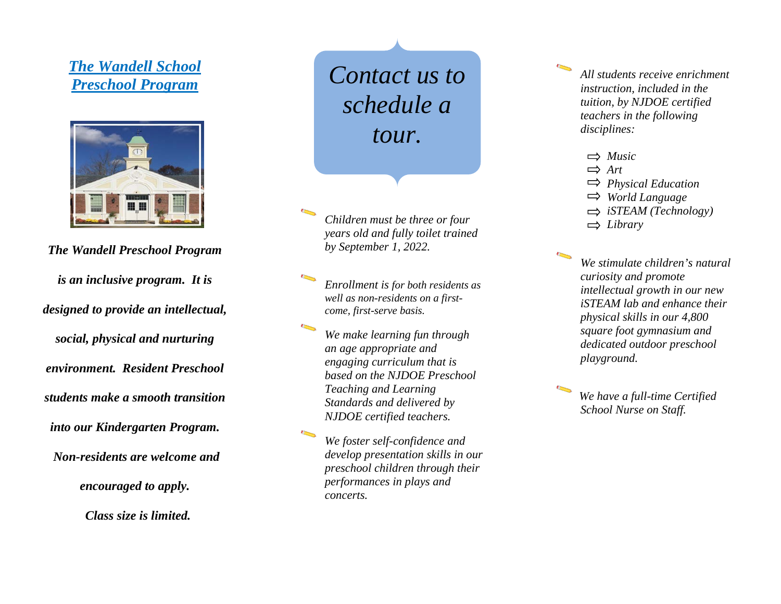## *The Wandell School Preschool Program*



*The Wandell Preschool Program is an inclusive program . It is designed to provide an intellectual, social, physical and nurturing environment. Resident Preschool students make a smooth transition into our Kindergarten Program. Non-residents are welcome and encouraged to apply .*

 *Class size is limited.*

*Contact us to schedule a tour.*

*Children must be three or four years old and fully toilet trained by September 1, 202 2 .*

*Enrollment is for both residents as well as non -residents on a first come, first -serve basis .*

*We make learning fun through an age appropriate and engaging curriculum that is based on the NJDOE Preschool Teaching and Learning Standards and delivered by NJDOE certified teachers.*

*We foster self-confidence and develop presentation skills in our preschool children through their performances in plays and concerts.*

*All students receive enrichment instruction, included in the tuition, by NJDOE certified teachers in the following disciplines:*

- *Music*
- $\Rightarrow$  *Art*
- *Physical Education*
- *World Language*
- *iSTEAM (Technology)*
- *Library*

*We stimulate children's natural curiosity and promote intellectual growth in our new iSTEAM lab and enhance their physical skills in our 4 , 800 square foot gymnasium and dedicated outdoor preschool playground.*

*We have a full -time Certified School Nurse on Staff.*